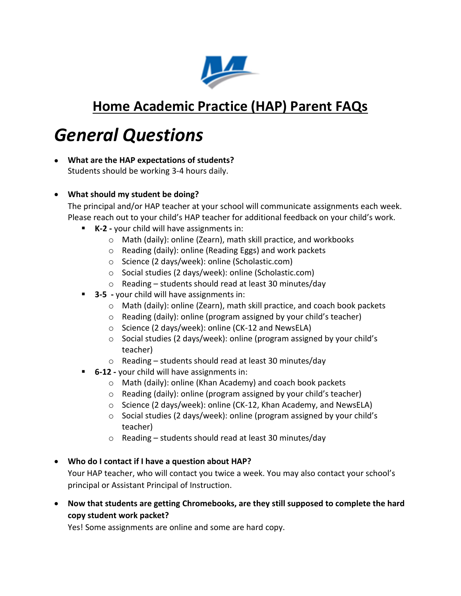

### **Home Academic Practice (HAP) Parent FAQs**

# *General Questions*

- **What are the HAP expectations of students?** Students should be working 3-4 hours daily.
- **What should my student be doing?**

The principal and/or HAP teacher at your school will communicate assignments each week. Please reach out to your child's HAP teacher for additional feedback on your child's work.

- **K-2 -** your child will have assignments in:
	- o Math (daily): online (Zearn), math skill practice, and workbooks
	- o Reading (daily): online (Reading Eggs) and work packets
	- o Science (2 days/week): online (Scholastic.com)
	- o Social studies (2 days/week): online (Scholastic.com)
	- o Reading students should read at least 30 minutes/day
- **3-5 -** your child will have assignments in:
	- o Math (daily): online (Zearn), math skill practice, and coach book packets
	- o Reading (daily): online (program assigned by your child's teacher)
	- o Science (2 days/week): online (CK-12 and NewsELA)
	- o Social studies (2 days/week): online (program assigned by your child's teacher)
	- o Reading students should read at least 30 minutes/day
- **6-12 -** your child will have assignments in:
	- o Math (daily): online (Khan Academy) and coach book packets
	- o Reading (daily): online (program assigned by your child's teacher)
	- o Science (2 days/week): online (CK-12, Khan Academy, and NewsELA)
	- o Social studies (2 days/week): online (program assigned by your child's teacher)
	- o Reading students should read at least 30 minutes/day
- **Who do I contact if I have a question about HAP?** Your HAP teacher, who will contact you twice a week. You may also contact your school's principal or Assistant Principal of Instruction.
- **Now that students are getting Chromebooks, are they still supposed to complete the hard copy student work packet?**

Yes! Some assignments are online and some are hard copy.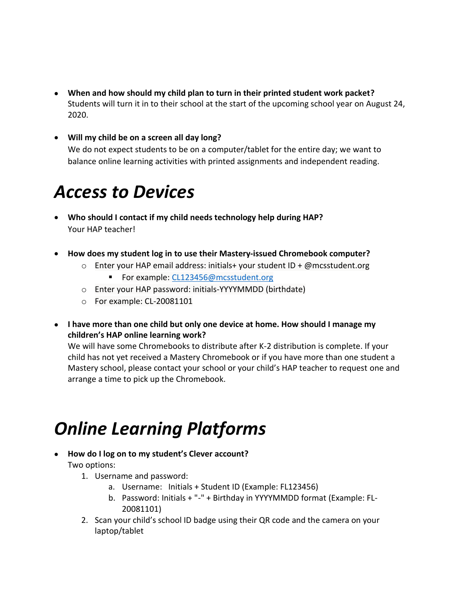- **When and how should my child plan to turn in their printed student work packet?** Students will turn it in to their school at the start of the upcoming school year on August 24, 2020.
- **Will my child be on a screen all day long?** We do not expect students to be on a computer/tablet for the entire day; we want to balance online learning activities with printed assignments and independent reading.

## *Access to Devices*

- **Who should I contact if my child needs technology help during HAP?**  Your HAP teacher!
- **How does my student log in to use their Mastery-issued Chromebook computer?**
	- $\circ$  Enter your HAP email address: initials+ your student ID + @mcsstudent.org
		- For example: [CL123456@mcsstudent.org](mailto:CL123456@mcsstudent.org)
	- o Enter your HAP password: initials-YYYYMMDD (birthdate)
	- o For example: CL-20081101
- **I have more than one child but only one device at home. How should I manage my children's HAP online learning work?**

We will have some Chromebooks to distribute after K-2 distribution is complete. If your child has not yet received a Mastery Chromebook or if you have more than one student a Mastery school, please contact your school or your child's HAP teacher to request one and arrange a time to pick up the Chromebook.

# *Online Learning Platforms*

- **How do I log on to my student's Clever account?** Two options:
	- 1. Username and password:
		- a. Username: Initials + Student ID (Example: FL123456)
		- b. Password: Initials + "-" + Birthday in YYYYMMDD format (Example: FL-20081101)
	- 2. Scan your child's school ID badge using their QR code and the camera on your laptop/tablet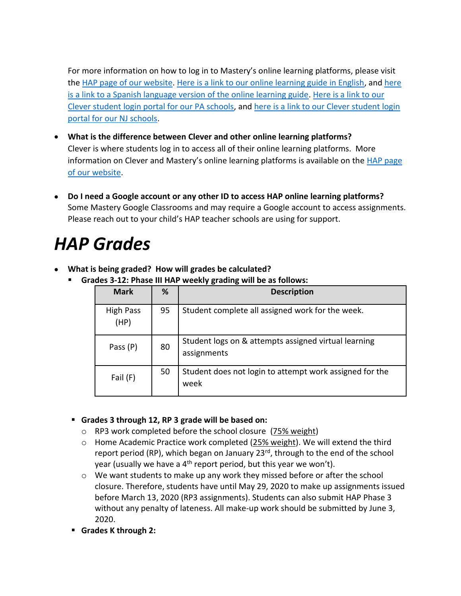For more information on how to log in to Mastery's online learning platforms, please visit the [HAP page of our website.](https://www.masterycharter.org/HAP) [Here is a link to our online learning guide in English,](https://www.masterycharter.org/app/uploads/2020/03/HAP_Online_Learning_Family_Access_Guide.Mastery.March-19-2020.Final1_.pdf) an[d here](https://www.masterycharter.org/app/uploads/2020/03/3-19-2020-TL-mcs-L.hall-HAP_Online_Learning_Family_Access_Guide-SPANISH.pdf)  [is a link to a Spanish language version of the online learning guide.](https://www.masterycharter.org/app/uploads/2020/03/3-19-2020-TL-mcs-L.hall-HAP_Online_Learning_Family_Access_Guide-SPANISH.pdf) [Here is a link to our](https://clever.com/oauth/sis/login?target=NTczYjY3NjQ0MDNmZTQwMTAwMDAwYjE4%3BNGM2M2MxY2Y2MjNkY2U4MmNhYWM%3D%3BaHR0cHM6Ly9jbGV2ZXIuY29tL2luL2F1dGhfY2FsbGJhY2s%3D%3BZDUzZjlkMGUwNmY5ZGRjYWY1ZDI2ZTEzZmVlYTZiOGE5ODg2N2E2NGI2NmE0MmFhNDdkZDZiN2ZkNTlhYWNkNg%3D%3D%3BY29kZQ%3D%3D%3B&skip=1&default_badge=)  [Clever student login portal for our PA schools,](https://clever.com/oauth/sis/login?target=NTczYjY3NjQ0MDNmZTQwMTAwMDAwYjE4%3BNGM2M2MxY2Y2MjNkY2U4MmNhYWM%3D%3BaHR0cHM6Ly9jbGV2ZXIuY29tL2luL2F1dGhfY2FsbGJhY2s%3D%3BZDUzZjlkMGUwNmY5ZGRjYWY1ZDI2ZTEzZmVlYTZiOGE5ODg2N2E2NGI2NmE0MmFhNDdkZDZiN2ZkNTlhYWNkNg%3D%3D%3BY29kZQ%3D%3D%3B&skip=1&default_badge=) and [here is a link to our Clever student login](https://clever.com/oauth/sis/login?target=NTk2NjUyMGM5YWM0MjYwMDAxZjY5MTI5%3BNGM2M2MxY2Y2MjNkY2U4MmNhYWM%3D%3BaHR0cHM6Ly9jbGV2ZXIuY29tL2luL2F1dGhfY2FsbGJhY2s%3D%3BZDUzZjlkMGUwNmY5ZGRjYWY1ZDI2ZTEzZmVlYTZiOGE5ODg2N2E2NGI2NmE0MmFhNDdkZDZiN2ZkNTlhYWNkNg%3D%3D%3BY29kZQ%3D%3D%3B&skip=1&default_badge=)  [portal for our NJ schools.](https://clever.com/oauth/sis/login?target=NTk2NjUyMGM5YWM0MjYwMDAxZjY5MTI5%3BNGM2M2MxY2Y2MjNkY2U4MmNhYWM%3D%3BaHR0cHM6Ly9jbGV2ZXIuY29tL2luL2F1dGhfY2FsbGJhY2s%3D%3BZDUzZjlkMGUwNmY5ZGRjYWY1ZDI2ZTEzZmVlYTZiOGE5ODg2N2E2NGI2NmE0MmFhNDdkZDZiN2ZkNTlhYWNkNg%3D%3D%3BY29kZQ%3D%3D%3B&skip=1&default_badge=)

- **What is the difference between Clever and other online learning platforms?** Clever is where students log in to access all of their online learning platforms. More information on Clever and Mastery's online learning platforms is available on the HAP page [of our website.](https://www.masterycharter.org/HAP)
- **Do I need a Google account or any other ID to access HAP online learning platforms?** Some Mastery Google Classrooms and may require a Google account to access assignments. Please reach out to your child's HAP teacher schools are using for support.

# *HAP Grades*

- **What is being graded? How will grades be calculated?**
	- **Grades 3-12: Phase III HAP weekly grading will be as follows:**

| <b>Mark</b>              | %  | <b>Description</b>                                                  |
|--------------------------|----|---------------------------------------------------------------------|
| <b>High Pass</b><br>(HP) | 95 | Student complete all assigned work for the week.                    |
| Pass (P)                 | 80 | Student logs on & attempts assigned virtual learning<br>assignments |
| Fail (F)                 | 50 | Student does not login to attempt work assigned for the<br>week     |

- **Grades 3 through 12, RP 3 grade will be based on:**
	- o RP3 work completed before the school closure (75% weight)
	- $\circ$  Home Academic Practice work completed (25% weight). We will extend the third report period (RP), which began on January 23<sup>rd</sup>, through to the end of the school year (usually we have a  $4<sup>th</sup>$  report period, but this year we won't).
	- $\circ$  We want students to make up any work they missed before or after the school closure. Therefore, students have until May 29, 2020 to make up assignments issued before March 13, 2020 (RP3 assignments). Students can also submit HAP Phase 3 without any penalty of lateness. All make-up work should be submitted by June 3, 2020.
- **Grades K through 2:**